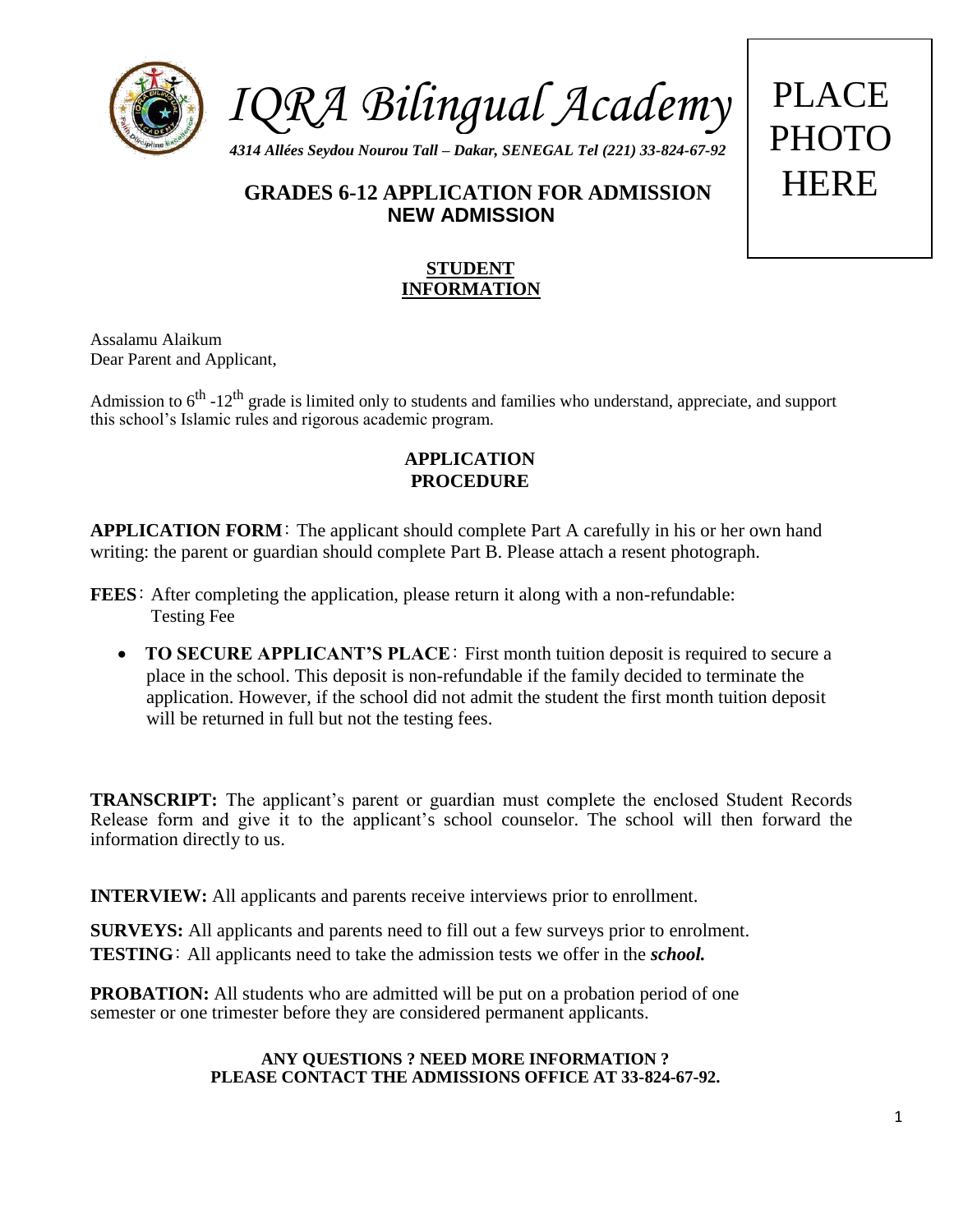

# **GRADES 6-12 APPLICATION FOR ADMISSION** HERE **NEW ADMISSION**

### **STUDENT INFORMATION**

Assalamu Alaikum Dear Parent and Applicant,

Admission to 6<sup>th</sup> -12<sup>th</sup> grade is limited only to students and families who understand, appreciate, and support this school's Islamic rules and rigorous academic program.

### **APPLICATION PROCEDURE**

**APPLICATION FORM**: The applicant should complete Part A carefully in his or her own hand writing: the parent or guardian should complete Part B. Please attach a resent photograph.

- **FEES**: After completing the application, please return it along with a non-refundable: Testing Fee
	- **TO SECURE APPLICANT'S PLACE**: First month tuition deposit is required to secure a place in the school. This deposit is non-refundable if the family decided to terminate the application. However, if the school did not admit the student the first month tuition deposit will be returned in full but not the testing fees.

**TRANSCRIPT:** The applicant's parent or guardian must complete the enclosed Student Records Release form and give it to the applicant's school counselor. The school will then forward the information directly to us.

**INTERVIEW:** All applicants and parents receive interviews prior to enrollment.

**SURVEYS:** All applicants and parents need to fill out a few surveys prior to enrolment. **TESTING**: All applicants need to take the admission tests we offer in the *school.*

**PROBATION:** All students who are admitted will be put on a probation period of one semester or one trimester before they are considered permanent applicants.

#### **ANY QUESTIONS ? NEED MORE INFORMATION ? PLEASE CONTACT THE ADMISSIONS OFFICE AT 33-824-67-92.**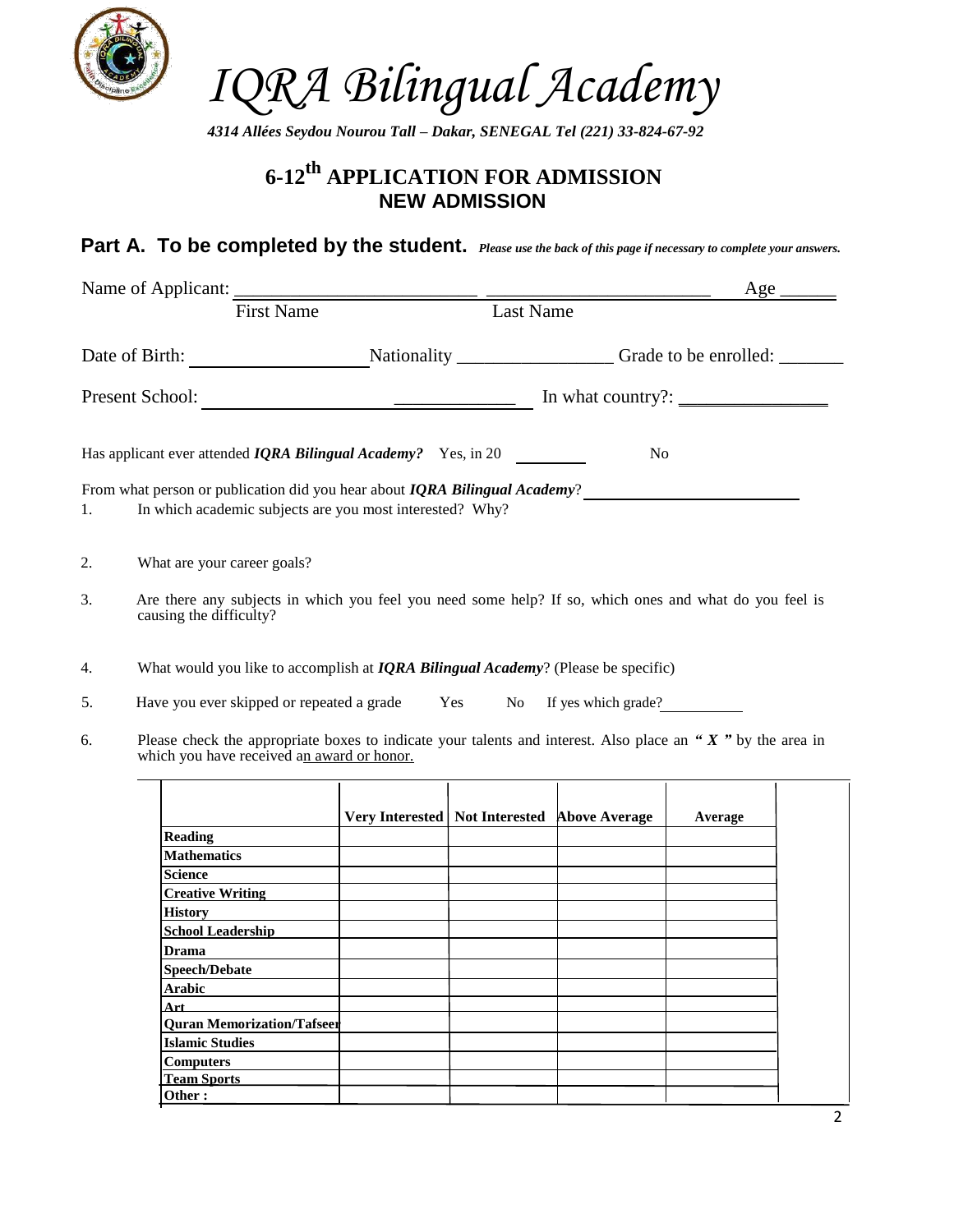

*4314 Allées Seydou Nourou Tall – Dakar, SENEGAL Tel (221) 33-824-67-92*

## **6-12th APPLICATION FOR ADMISSION NEW ADMISSION**

### **Part A. To be completed by the student.** *Please use the back of this page if necessary to complete your answers.*

|    | Name of Applicant: First Name Last Name                                                                                                                      |                                                  |                |         | $Age \underline{\hspace{2cm}}$ |
|----|--------------------------------------------------------------------------------------------------------------------------------------------------------------|--------------------------------------------------|----------------|---------|--------------------------------|
|    |                                                                                                                                                              |                                                  |                |         |                                |
|    |                                                                                                                                                              |                                                  |                |         |                                |
|    |                                                                                                                                                              |                                                  |                |         |                                |
|    | Has applicant ever attended <i>IQRA Bilingual Academy?</i> Yes, in 20                                                                                        |                                                  | N <sub>0</sub> |         |                                |
| 1. | From what person or publication did you hear about <i>IQRA Bilingual Academy</i> ?<br>In which academic subjects are you most interested? Why?               |                                                  |                |         |                                |
| 2. | What are your career goals?                                                                                                                                  |                                                  |                |         |                                |
| 3. | Are there any subjects in which you feel you need some help? If so, which ones and what do you feel is<br>causing the difficulty?                            |                                                  |                |         |                                |
| 4. | What would you like to accomplish at $IQRA$ Bilingual Academy? (Please be specific)                                                                          |                                                  |                |         |                                |
| 5. | Have you ever skipped or repeated a grade Yes No If yes which grade?                                                                                         |                                                  |                |         |                                |
| 6. | Please check the appropriate boxes to indicate your talents and interest. Also place an " $X$ " by the area in<br>which you have received an award or honor. |                                                  |                |         |                                |
|    |                                                                                                                                                              | Very Interested   Not Interested   Above Average |                | Average |                                |
|    | <b>Reading</b>                                                                                                                                               |                                                  |                |         |                                |
|    | <b>Mathematics</b>                                                                                                                                           |                                                  |                |         |                                |
|    | Science                                                                                                                                                      |                                                  |                |         |                                |
|    | <b>Creative Writing</b>                                                                                                                                      |                                                  |                |         |                                |
|    | History                                                                                                                                                      |                                                  |                |         |                                |
|    | <b>School Leadership</b>                                                                                                                                     |                                                  |                |         |                                |
|    | Drama                                                                                                                                                        |                                                  |                |         |                                |
|    | Speech/Debate                                                                                                                                                |                                                  |                |         |                                |
|    | Arabic                                                                                                                                                       |                                                  |                |         |                                |
|    | Art                                                                                                                                                          |                                                  |                |         |                                |
|    | <b>Quran Memorization/Tafseer</b>                                                                                                                            |                                                  |                |         |                                |
|    | <b>Islamic Studies</b>                                                                                                                                       |                                                  |                |         |                                |
|    | <b>Computers</b>                                                                                                                                             |                                                  |                |         |                                |
|    | <b>Team Sports</b>                                                                                                                                           |                                                  |                |         |                                |

**Other :**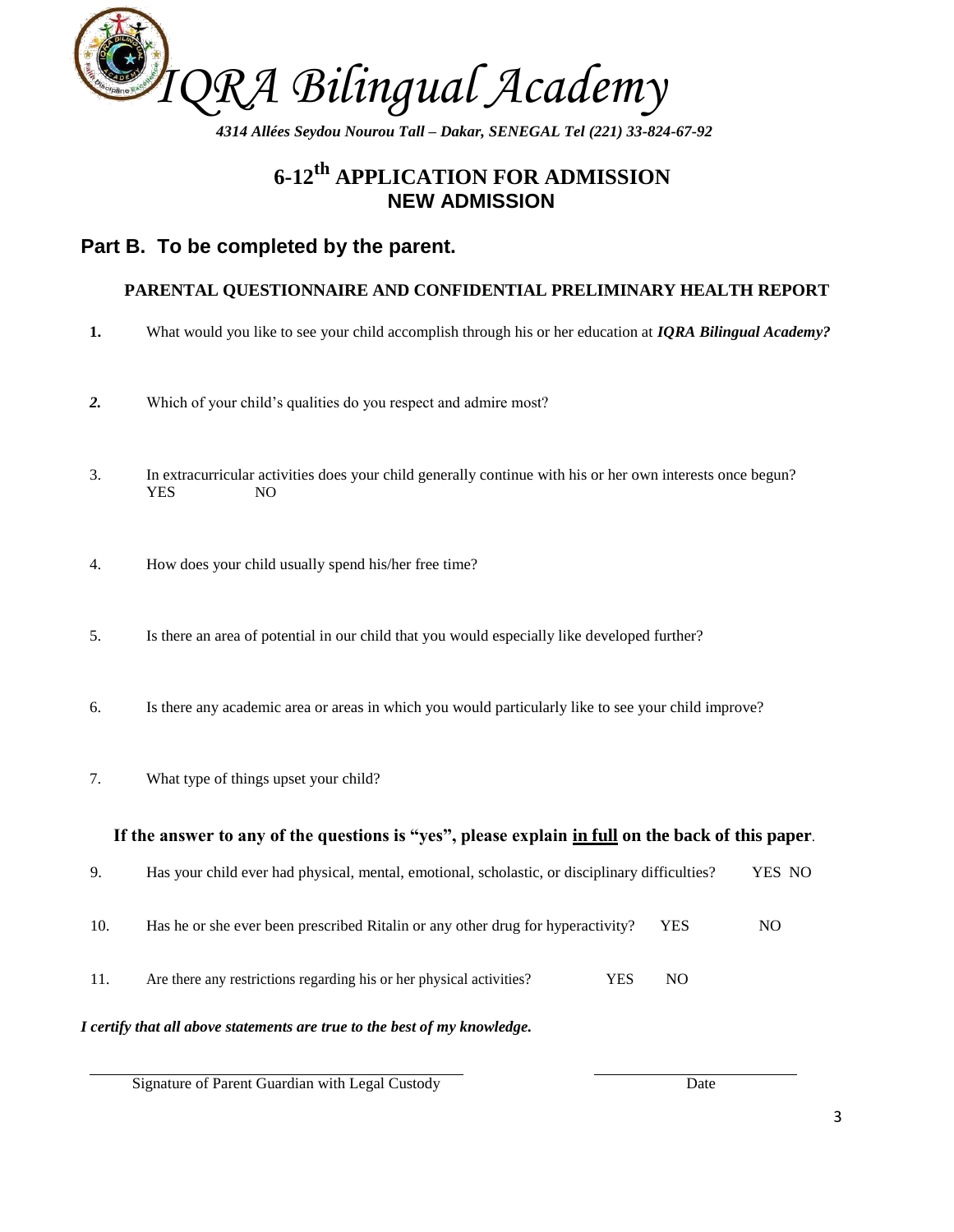

*4314 Allées Seydou Nourou Tall – Dakar, SENEGAL Tel (221) 33-824-67-92*

## **6-12th APPLICATION FOR ADMISSION NEW ADMISSION**

### **Part B. To be completed by the parent.**

#### **PARENTAL QUESTIONNAIRE AND CONFIDENTIAL PRELIMINARY HEALTH REPORT**

- **1.** What would you like to see your child accomplish through his or her education at *IQRA Bilingual Academy?*
- *2.* Which of your child's qualities do you respect and admire most?
- 3. In extracurricular activities does your child generally continue with his or her own interests once begun? YES NO
- 4. How does your child usually spend his/her free time?
- 5. Is there an area of potential in our child that you would especially like developed further?
- 6. Is there any academic area or areas in which you would particularly like to see your child improve?
- 7. What type of things upset your child?

#### **If the answer to any of the questions is "yes", please explain in full on the back of this paper**.

- 9. Has your child ever had physical, mental, emotional, scholastic, or disciplinary difficulties? YES NO
- 10. Has he or she ever been prescribed Ritalin or any other drug for hyperactivity? YES NO
- 11. Are there any restrictions regarding his or her physical activities? YES NO

#### *I certify that all above statements are true to the best of my knowledge.*

Signature of Parent Guardian with Legal Custody Date